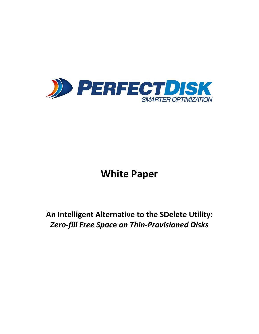

# **White Paper**

# **An Intelligent Alternative to the SDelete Utility:** *Zero-fill Free Spac***e** *on Thin-Provisioned Disks*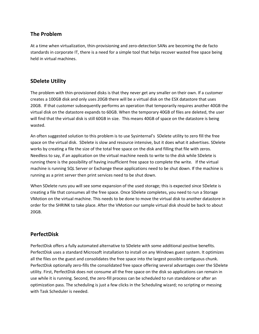#### **The Problem**

At a time when virtualization, thin-provisioning and zero-detection SANs are becoming the de facto standards in corporate IT, there is a need for a simple tool that helps recover wasted free space being held in virtual machines.

#### **SDelete Utility**

The problem with thin-provisioned disks is that they never get any smaller on their own. If a customer creates a 100GB disk and only uses 20GB there will be a virtual disk on the ESX datastore that uses 20GB. If that customer subsequently performs an operation that temporarily requires another 40GB the virtual disk on the datastore expands to 60GB. When the temporary 40GB of files are deleted, the user will find that the virtual disk is still 60GB in size. This means 40GB of space on the datastore is being wasted.

An often suggested solution to this problem is to use Sysinternal's SDelete utility to zero fill the free space on the virtual disk. SDelete is slow and resource intensive, but it does what it advertises. SDelete works by creating a file the size of the total free space on the disk and filling that file with zeros. Needless to say, if an application on the virtual machine needs to write to the disk while SDelete is running there is the possibility of having insufficient free space to complete the write. If the virtual machine is running SQL Server or Exchange these applications need to be shut down. If the machine is running as a print server then print services need to be shut down.

When SDelete runs you will see some expansion of the used storage; this is expected since SDelete is creating a file that consumes all the free space. Once SDelete completes, you need to run a Storage VMotion on the virtual machine. This needs to be done to move the virtual disk to another datastore in order for the SHRINK to take place. After the VMotion our sample virtual disk should be back to about 20GB.

## **PerfectDisk**

PerfectDisk offers a fully automated alternative to SDelete with some additional positive benefits. PerfectDisk uses a standard Microsoft installation to install on any Windows guest system. It optimizes all the files on the guest and consolidates the free space into the largest possible contiguous chunk. PerfectDisk optionally zero-fills the consolidated free space offering several advantages over the SDelete utility. First, PerfectDisk does not consume all the free space on the disk so applications can remain in use while it is running. Second, the zero-fill process can be scheduled to run standalone or after an optimization pass. The scheduling is just a few clicks in the Scheduling wizard; no scripting or messing with Task Scheduler is needed.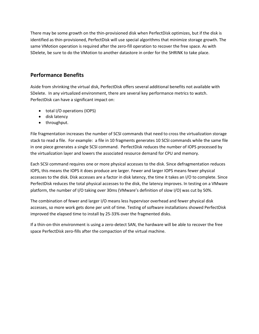There may be some growth on the thin-provisioned disk when PerfectDisk optimizes, but if the disk is identified as thin-provisioned, PerfectDisk will use special algorithms that minimize storage growth. The same VMotion operation is required after the zero-fill operation to recover the free space. As with SDelete, be sure to do the VMotion to another datastore in order for the SHRINK to take place.

### **Performance Benefits**

Aside from shrinking the virtual disk, PerfectDisk offers several additional benefits not available with SDelete. In any virtualized environment, there are several key performance metrics to watch. PerfectDisk can have a significant impact on:

- total I/O operations (IOPS)
- disk latency
- throughput.

File fragmentation increases the number of SCSI commands that need to cross the virtualization storage stack to read a file. For example: a file in 10 fragments generates 10 SCSI commands while the same file in one piece generates a single SCSI command. PerfectDisk reduces the number of IOPS processed by the virtualization layer and lowers the associated resource demand for CPU and memory.

Each SCSI command requires one or more physical accesses to the disk. Since defragmentation reduces IOPS, this means the IOPS it does produce are larger. Fewer and larger IOPS means fewer physical accesses to the disk. Disk accesses are a factor in disk latency, the time it takes an I/O to complete. Since PerfectDisk reduces the total physical accesses to the disk, the latency improves. In testing on a VMware platform, the number of I/O taking over 30ms (VMware's definition of slow I/O) was cut by 50%.

The combination of fewer and larger I/O means less hypervisor overhead and fewer physical disk accesses, so more work gets done per unit of time. Testing of software installations showed PerfectDisk improved the elapsed time to install by 25-33% over the fragmented disks.

If a thin-on-thin environment is using a zero-detect SAN, the hardware will be able to recover the free space PerfectDisk zero-fills after the compaction of the virtual machine.